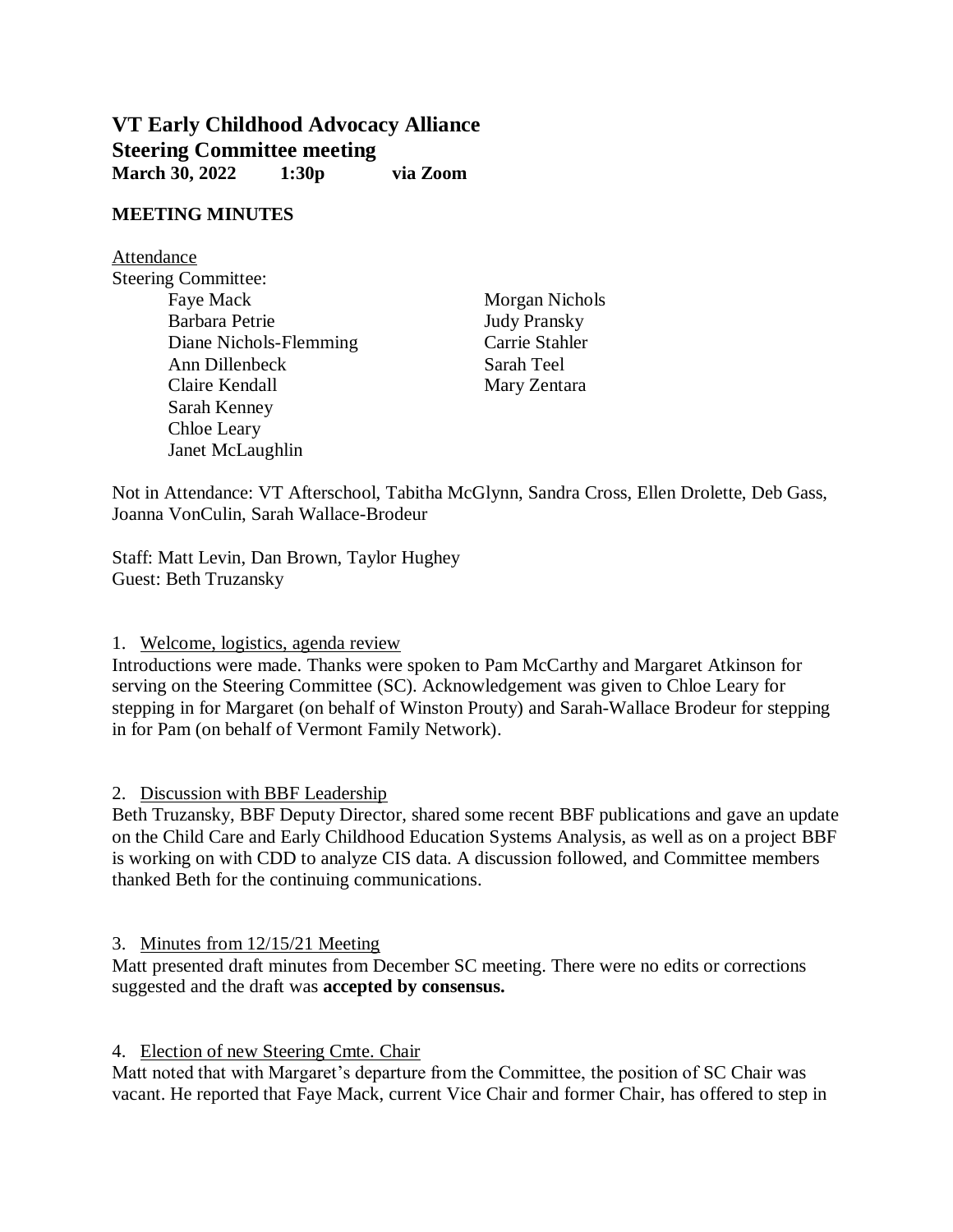# **VT Early Childhood Advocacy Alliance Steering Committee meeting March 30, 2022 1:30p via Zoom**

#### **MEETING MINUTES**

Attendance Steering Committee: Faye Mack Morgan Nichols Barbara Petrie Judy Pransky Diane Nichols-Flemming Carrie Stahler Ann Dillenbeck Sarah Teel Claire Kendall Mary Zentara Sarah Kenney Chloe Leary Janet McLaughlin

Not in Attendance: VT Afterschool, Tabitha McGlynn, Sandra Cross, Ellen Drolette, Deb Gass, Joanna VonCulin, Sarah Wallace-Brodeur

Staff: Matt Levin, Dan Brown, Taylor Hughey Guest: Beth Truzansky

1. Welcome, logistics, agenda review

Introductions were made. Thanks were spoken to Pam McCarthy and Margaret Atkinson for serving on the Steering Committee (SC). Acknowledgement was given to Chloe Leary for stepping in for Margaret (on behalf of Winston Prouty) and Sarah-Wallace Brodeur for stepping in for Pam (on behalf of Vermont Family Network).

2. Discussion with BBF Leadership

Beth Truzansky, BBF Deputy Director, shared some recent BBF publications and gave an update on the Child Care and Early Childhood Education Systems Analysis, as well as on a project BBF is working on with CDD to analyze CIS data. A discussion followed, and Committee members thanked Beth for the continuing communications.

3. Minutes from 12/15/21 Meeting

Matt presented draft minutes from December SC meeting. There were no edits or corrections suggested and the draft was **accepted by consensus.** 

4. Election of new Steering Cmte. Chair

Matt noted that with Margaret's departure from the Committee, the position of SC Chair was vacant. He reported that Faye Mack, current Vice Chair and former Chair, has offered to step in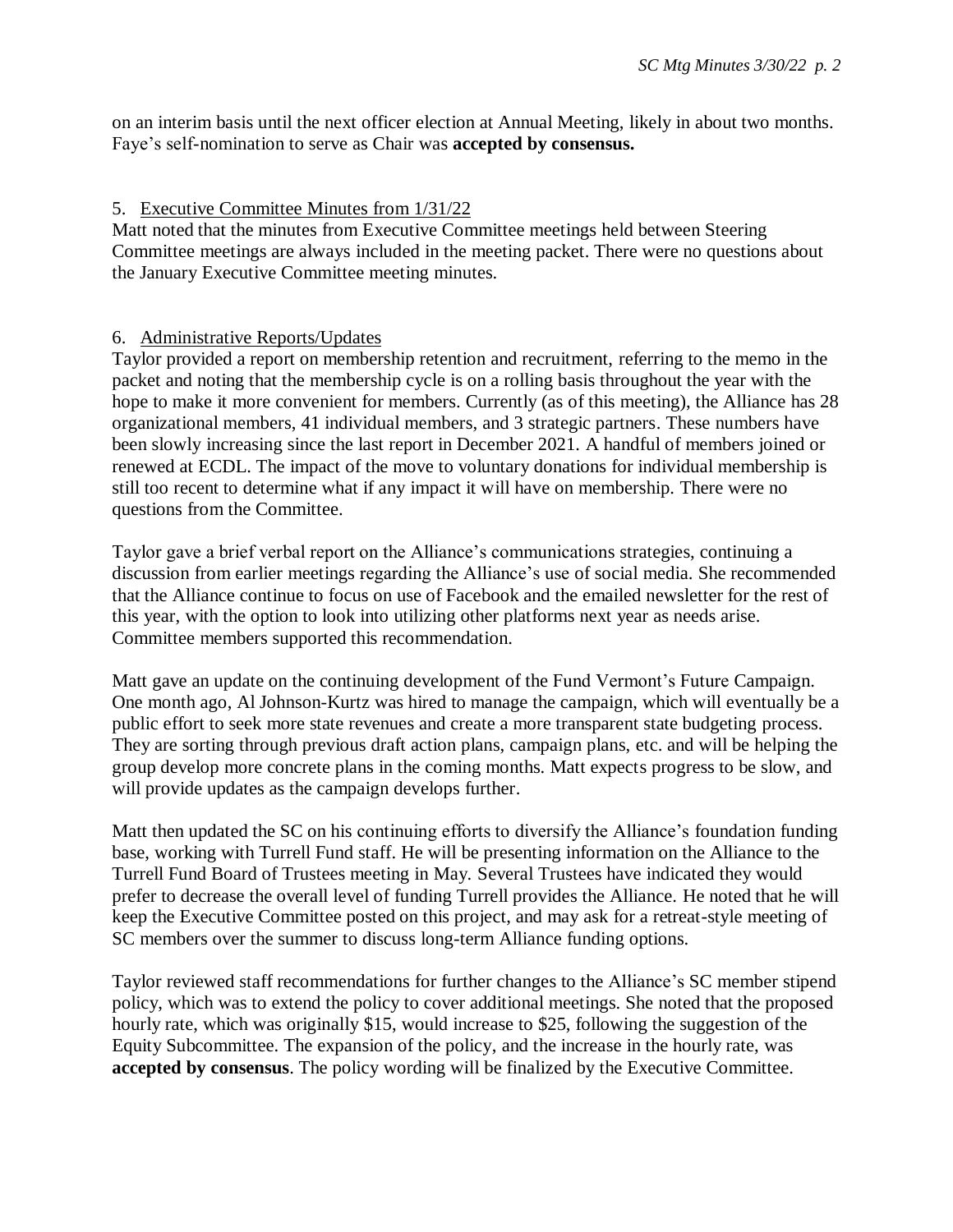on an interim basis until the next officer election at Annual Meeting, likely in about two months. Faye's self-nomination to serve as Chair was **accepted by consensus.**

# 5. Executive Committee Minutes from 1/31/22

Matt noted that the minutes from Executive Committee meetings held between Steering Committee meetings are always included in the meeting packet. There were no questions about the January Executive Committee meeting minutes.

# 6. Administrative Reports/Updates

Taylor provided a report on membership retention and recruitment, referring to the memo in the packet and noting that the membership cycle is on a rolling basis throughout the year with the hope to make it more convenient for members. Currently (as of this meeting), the Alliance has 28 organizational members, 41 individual members, and 3 strategic partners. These numbers have been slowly increasing since the last report in December 2021. A handful of members joined or renewed at ECDL. The impact of the move to voluntary donations for individual membership is still too recent to determine what if any impact it will have on membership. There were no questions from the Committee.

Taylor gave a brief verbal report on the Alliance's communications strategies, continuing a discussion from earlier meetings regarding the Alliance's use of social media. She recommended that the Alliance continue to focus on use of Facebook and the emailed newsletter for the rest of this year, with the option to look into utilizing other platforms next year as needs arise. Committee members supported this recommendation.

Matt gave an update on the continuing development of the Fund Vermont's Future Campaign. One month ago, Al Johnson-Kurtz was hired to manage the campaign, which will eventually be a public effort to seek more state revenues and create a more transparent state budgeting process. They are sorting through previous draft action plans, campaign plans, etc. and will be helping the group develop more concrete plans in the coming months. Matt expects progress to be slow, and will provide updates as the campaign develops further.

Matt then updated the SC on his continuing efforts to diversify the Alliance's foundation funding base, working with Turrell Fund staff. He will be presenting information on the Alliance to the Turrell Fund Board of Trustees meeting in May. Several Trustees have indicated they would prefer to decrease the overall level of funding Turrell provides the Alliance. He noted that he will keep the Executive Committee posted on this project, and may ask for a retreat-style meeting of SC members over the summer to discuss long-term Alliance funding options.

Taylor reviewed staff recommendations for further changes to the Alliance's SC member stipend policy, which was to extend the policy to cover additional meetings. She noted that the proposed hourly rate, which was originally \$15, would increase to \$25, following the suggestion of the Equity Subcommittee. The expansion of the policy, and the increase in the hourly rate, was **accepted by consensus**. The policy wording will be finalized by the Executive Committee.